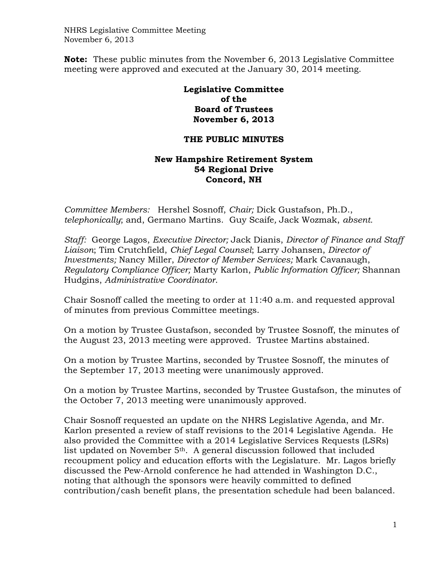NHRS Legislative Committee Meeting November 6, 2013

**Note:** These public minutes from the November 6, 2013 Legislative Committee meeting were approved and executed at the January 30, 2014 meeting.

## **Legislative Committee of the Board of Trustees November 6, 2013**

## **THE PUBLIC MINUTES**

## **New Hampshire Retirement System 54 Regional Drive Concord, NH**

*Committee Members:* Hershel Sosnoff, *Chair;* Dick Gustafson, Ph.D., *telephonically*; and, Germano Martins. Guy Scaife*,* Jack Wozmak, *absent.* 

*Staff:* George Lagos, *Executive Director;* Jack Dianis, *Director of Finance and Staff Liaison*; Tim Crutchfield, *Chief Legal Counsel*; Larry Johansen, *Director of Investments;* Nancy Miller, *Director of Member Services;* Mark Cavanaugh, *Regulatory Compliance Officer;* Marty Karlon, *Public Information Officer;* Shannan Hudgins, *Administrative Coordinator*.

Chair Sosnoff called the meeting to order at 11:40 a.m. and requested approval of minutes from previous Committee meetings.

On a motion by Trustee Gustafson, seconded by Trustee Sosnoff, the minutes of the August 23, 2013 meeting were approved. Trustee Martins abstained.

On a motion by Trustee Martins, seconded by Trustee Sosnoff, the minutes of the September 17, 2013 meeting were unanimously approved.

On a motion by Trustee Martins, seconded by Trustee Gustafson, the minutes of the October 7, 2013 meeting were unanimously approved.

Chair Sosnoff requested an update on the NHRS Legislative Agenda, and Mr. Karlon presented a review of staff revisions to the 2014 Legislative Agenda. He also provided the Committee with a 2014 Legislative Services Requests (LSRs) list updated on November  $5<sup>th</sup>$ . A general discussion followed that included recoupment policy and education efforts with the Legislature. Mr. Lagos briefly discussed the Pew-Arnold conference he had attended in Washington D.C., noting that although the sponsors were heavily committed to defined contribution/cash benefit plans, the presentation schedule had been balanced.